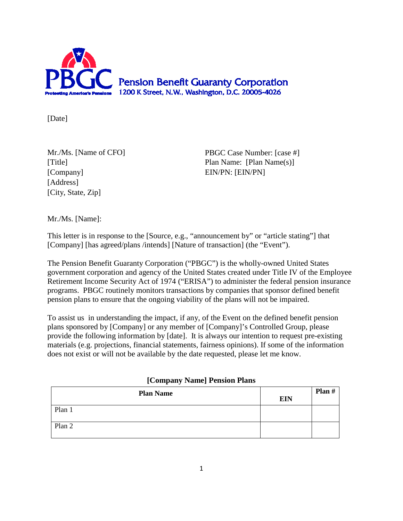

[Date]

[Company] EIN/PN: [EIN/PN] [Address] [City, State, Zip]

Mr./Ms. [Name of CFO] PBGC Case Number: [case #] [Title] Plan Name: [Plan Name(s)]

Mr./Ms. [Name]:

This letter is in response to the [Source, e.g., "announcement by" or "article stating"] that [Company] [has agreed/plans /intends] [Nature of transaction] (the "Event").

The Pension Benefit Guaranty Corporation ("PBGC") is the wholly-owned United States government corporation and agency of the United States created under Title IV of the Employee Retirement Income Security Act of 1974 ("ERISA") to administer the federal pension insurance programs. PBGC routinely monitors transactions by companies that sponsor defined benefit pension plans to ensure that the ongoing viability of the plans will not be impaired.

To assist us in understanding the impact, if any, of the Event on the defined benefit pension plans sponsored by [Company] or any member of [Company]'s Controlled Group, please provide the following information by [date]. It is always our intention to request pre-existing materials (e.g. projections, financial statements, fairness opinions). If some of the information does not exist or will not be available by the date requested, please let me know.

| [Company Name] Pension Plans |
|------------------------------|
|------------------------------|

| <b>Plan Name</b> | <b>EIN</b> | Plan $#$ |
|------------------|------------|----------|
| Plan 1           |            |          |
| Plan 2           |            |          |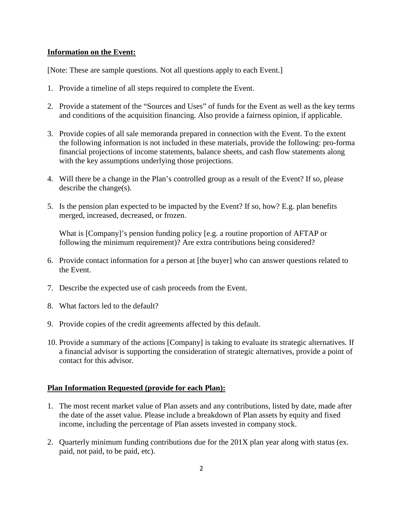## **Information on the Event:**

[Note: These are sample questions. Not all questions apply to each Event.]

- 1. Provide a timeline of all steps required to complete the Event.
- 2. Provide a statement of the "Sources and Uses" of funds for the Event as well as the key terms and conditions of the acquisition financing. Also provide a fairness opinion, if applicable.
- 3. Provide copies of all sale memoranda prepared in connection with the Event. To the extent the following information is not included in these materials, provide the following: pro-forma financial projections of income statements, balance sheets, and cash flow statements along with the key assumptions underlying those projections.
- 4. Will there be a change in the Plan's controlled group as a result of the Event? If so, please describe the change(s).
- 5. Is the pension plan expected to be impacted by the Event? If so, how? E.g. plan benefits merged, increased, decreased, or frozen.

What is [Company]'s pension funding policy [e.g. a routine proportion of AFTAP or following the minimum requirement)? Are extra contributions being considered?

- 6. Provide contact information for a person at [the buyer] who can answer questions related to the Event.
- 7. Describe the expected use of cash proceeds from the Event.
- 8. What factors led to the default?
- 9. Provide copies of the credit agreements affected by this default.
- 10. Provide a summary of the actions [Company] is taking to evaluate its strategic alternatives. If a financial advisor is supporting the consideration of strategic alternatives, provide a point of contact for this advisor.

## **Plan Information Requested (provide for each Plan):**

- 1. The most recent market value of Plan assets and any contributions, listed by date, made after the date of the asset value. Please include a breakdown of Plan assets by equity and fixed income, including the percentage of Plan assets invested in company stock.
- 2. Quarterly minimum funding contributions due for the 201X plan year along with status (ex. paid, not paid, to be paid, etc).